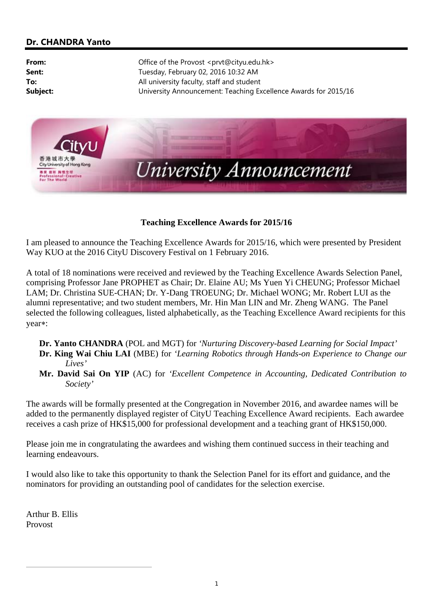## **Dr. CHANDRA Yanto**

**From:** Office of the Provost <prvt@cityu.edu.hk> **Sent:** Tuesday, February 02, 2016 10:32 AM **To:** All university faculty, staff and student **Subject:** University Announcement: Teaching Excellence Awards for 2015/16



## **Teaching Excellence Awards for 2015/16**

I am pleased to announce the Teaching Excellence Awards for 2015/16, which were presented by President Way KUO at the 2016 CityU Discovery Festival on 1 February 2016.

A total of 18 nominations were received and reviewed by the Teaching Excellence Awards Selection Panel, comprising Professor Jane PROPHET as Chair; Dr. Elaine AU; Ms Yuen Yi CHEUNG; Professor Michael LAM; Dr. Christina SUE-CHAN; Dr. Y-Dang TROEUNG; Dr. Michael WONG; Mr. Robert LUI as the alumni representative; and two student members, Mr. Hin Man LIN and Mr. Zheng WANG. The Panel selected the following colleagues, listed alphabetically, as the Teaching Excellence Award recipients for this year\*:

- **Dr. Yanto CHANDRA** (POL and MGT) for *'Nurturing Discovery-based Learning for Social Impact'* **Dr. King Wai Chiu LAI** (MBE) for *'Learning Robotics through Hands-on Experience to Change our Lives'*
- **Mr. David Sai On YIP** (AC) for *'Excellent Competence in Accounting, Dedicated Contribution to Society'*

The awards will be formally presented at the Congregation in November 2016, and awardee names will be added to the permanently displayed register of CityU Teaching Excellence Award recipients. Each awardee receives a cash prize of HK\$15,000 for professional development and a teaching grant of HK\$150,000.

Please join me in congratulating the awardees and wishing them continued success in their teaching and learning endeavours.

I would also like to take this opportunity to thank the Selection Panel for its effort and guidance, and the nominators for providing an outstanding pool of candidates for the selection exercise.

Arthur B. Ellis Provost